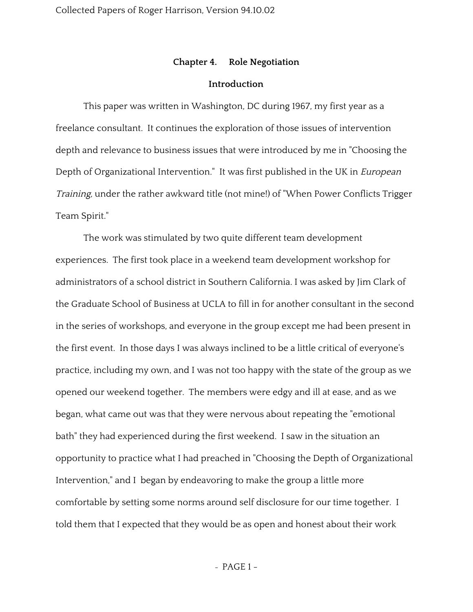#### **Chapter 4. Role Negotiation**

### **Introduction**

This paper was written in Washington, DC during 1967, my first year as a freelance consultant. It continues the exploration of those issues of intervention depth and relevance to business issues that were introduced by me in "Choosing the Depth of Organizational Intervention." It was first published in the UK in *European* Training, under the rather awkward title (not mine!) of "When Power Conflicts Trigger Team Spirit."

The work was stimulated by two quite different team development experiences. The first took place in a weekend team development workshop for administrators of a school district in Southern California. I was asked by Jim Clark of the Graduate School of Business at UCLA to fill in for another consultant in the second in the series of workshops, and everyone in the group except me had been present in the first event. In those days I was always inclined to be a little critical of everyone's practice, including my own, and I was not too happy with the state of the group as we opened our weekend together. The members were edgy and ill at ease, and as we began, what came out was that they were nervous about repeating the "emotional bath" they had experienced during the first weekend. I saw in the situation an opportunity to practice what I had preached in "Choosing the Depth of Organizational Intervention," and I began by endeavoring to make the group a little more comfortable by setting some norms around self disclosure for our time together. I told them that I expected that they would be as open and honest about their work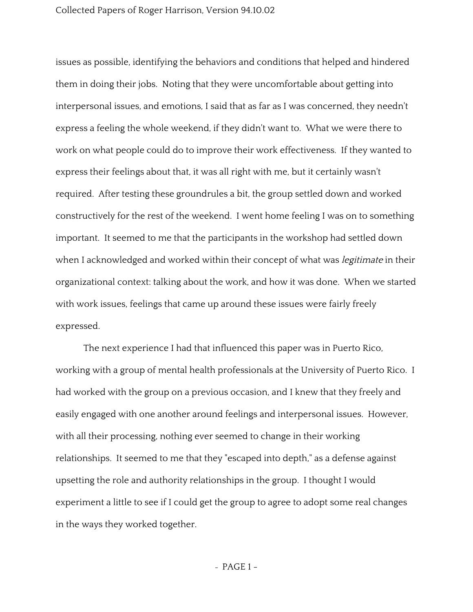issues as possible, identifying the behaviors and conditions that helped and hindered them in doing their jobs. Noting that they were uncomfortable about getting into interpersonal issues, and emotions, I said that as far as I was concerned, they needn't express a feeling the whole weekend, if they didn't want to. What we were there to work on what people could do to improve their work effectiveness. If they wanted to express their feelings about that, it was all right with me, but it certainly wasn't required. After testing these groundrules a bit, the group settled down and worked constructively for the rest of the weekend. I went home feeling I was on to something important. It seemed to me that the participants in the workshop had settled down when I acknowledged and worked within their concept of what was *legitimate* in their organizational context: talking about the work, and how it was done. When we started with work issues, feelings that came up around these issues were fairly freely expressed.

The next experience I had that influenced this paper was in Puerto Rico, working with a group of mental health professionals at the University of Puerto Rico. I had worked with the group on a previous occasion, and I knew that they freely and easily engaged with one another around feelings and interpersonal issues. However, with all their processing, nothing ever seemed to change in their working relationships. It seemed to me that they "escaped into depth," as a defense against upsetting the role and authority relationships in the group. I thought I would experiment a little to see if I could get the group to agree to adopt some real changes in the ways they worked together.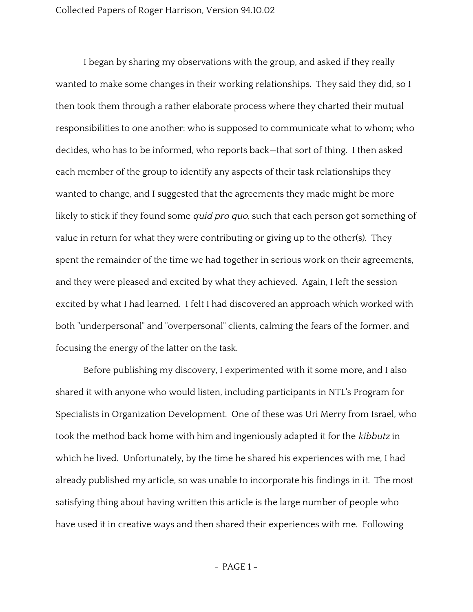I began by sharing my observations with the group, and asked if they really wanted to make some changes in their working relationships. They said they did, so I then took them through a rather elaborate process where they charted their mutual responsibilities to one another: who is supposed to communicate what to whom; who decides, who has to be informed, who reports back—that sort of thing. I then asked each member of the group to identify any aspects of their task relationships they wanted to change, and I suggested that the agreements they made might be more likely to stick if they found some *quid pro quo*, such that each person got something of value in return for what they were contributing or giving up to the other(s). They spent the remainder of the time we had together in serious work on their agreements, and they were pleased and excited by what they achieved. Again, I left the session excited by what I had learned. I felt I had discovered an approach which worked with both "underpersonal" and "overpersonal" clients, calming the fears of the former, and focusing the energy of the latter on the task.

Before publishing my discovery, I experimented with it some more, and I also shared it with anyone who would listen, including participants in NTL's Program for Specialists in Organization Development. One of these was Uri Merry from Israel, who took the method back home with him and ingeniously adapted it for the *kibbutz* in which he lived. Unfortunately, by the time he shared his experiences with me, I had already published my article, so was unable to incorporate his findings in it. The most satisfying thing about having written this article is the large number of people who have used it in creative ways and then shared their experiences with me. Following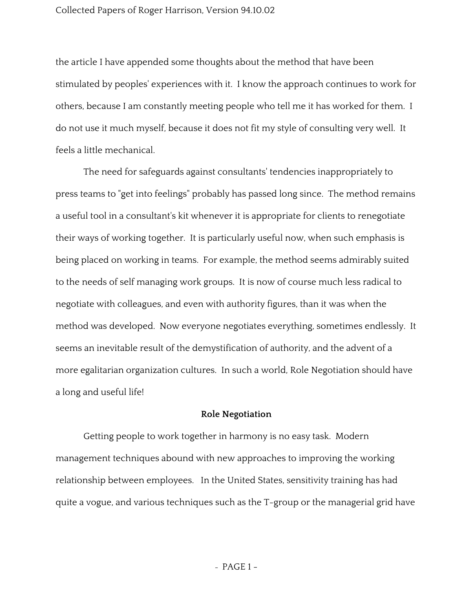the article I have appended some thoughts about the method that have been stimulated by peoples' experiences with it. I know the approach continues to work for others, because I am constantly meeting people who tell me it has worked for them. I do not use it much myself, because it does not fit my style of consulting very well. It feels a little mechanical.

The need for safeguards against consultants' tendencies inappropriately to press teams to "get into feelings" probably has passed long since. The method remains a useful tool in a consultant's kit whenever it is appropriate for clients to renegotiate their ways of working together. It is particularly useful now, when such emphasis is being placed on working in teams. For example, the method seems admirably suited to the needs of self managing work groups. It is now of course much less radical to negotiate with colleagues, and even with authority figures, than it was when the method was developed. Now everyone negotiates everything, sometimes endlessly. It seems an inevitable result of the demystification of authority, and the advent of a more egalitarian organization cultures. In such a world, Role Negotiation should have a long and useful life!

### **Role Negotiation**

Getting people to work together in harmony is no easy task. Modern management techniques abound with new approaches to improving the working relationship between employees. In the United States, sensitivity training has had quite a vogue, and various techniques such as the T-group or the managerial grid have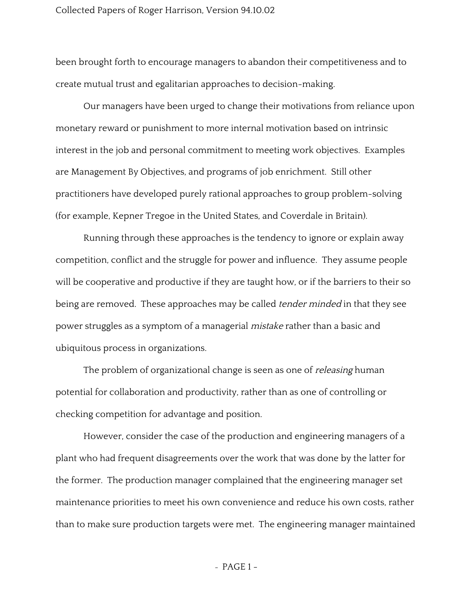been brought forth to encourage managers to abandon their competitiveness and to create mutual trust and egalitarian approaches to decision-making.

Our managers have been urged to change their motivations from reliance upon monetary reward or punishment to more internal motivation based on intrinsic interest in the job and personal commitment to meeting work objectives. Examples are Management By Objectives, and programs of job enrichment. Still other practitioners have developed purely rational approaches to group problem-solving (for example, Kepner Tregoe in the United States, and Coverdale in Britain).

Running through these approaches is the tendency to ignore or explain away competition, conflict and the struggle for power and influence. They assume people will be cooperative and productive if they are taught how, or if the barriers to their so being are removed. These approaches may be called *tender minded* in that they see power struggles as a symptom of a managerial mistake rather than a basic and ubiquitous process in organizations.

The problem of organizational change is seen as one of *releasing* human potential for collaboration and productivity, rather than as one of controlling or checking competition for advantage and position.

However, consider the case of the production and engineering managers of a plant who had frequent disagreements over the work that was done by the latter for the former. The production manager complained that the engineering manager set maintenance priorities to meet his own convenience and reduce his own costs, rather than to make sure production targets were met. The engineering manager maintained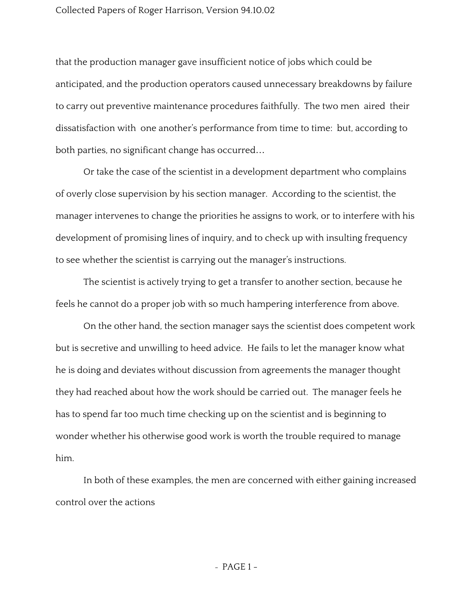that the production manager gave insufficient notice of jobs which could be anticipated, and the production operators caused unnecessary breakdowns by failure to carry out preventive maintenance procedures faithfully. The two men aired their dissatisfaction with one another's performance from time to time: but, according to both parties, no significant change has occurred…

Or take the case of the scientist in a development department who complains of overly close supervision by his section manager. According to the scientist, the manager intervenes to change the priorities he assigns to work, or to interfere with his development of promising lines of inquiry, and to check up with insulting frequency to see whether the scientist is carrying out the manager's instructions.

The scientist is actively trying to get a transfer to another section, because he feels he cannot do a proper job with so much hampering interference from above.

On the other hand, the section manager says the scientist does competent work but is secretive and unwilling to heed advice. He fails to let the manager know what he is doing and deviates without discussion from agreements the manager thought they had reached about how the work should be carried out. The manager feels he has to spend far too much time checking up on the scientist and is beginning to wonder whether his otherwise good work is worth the trouble required to manage him.

In both of these examples, the men are concerned with either gaining increased control over the actions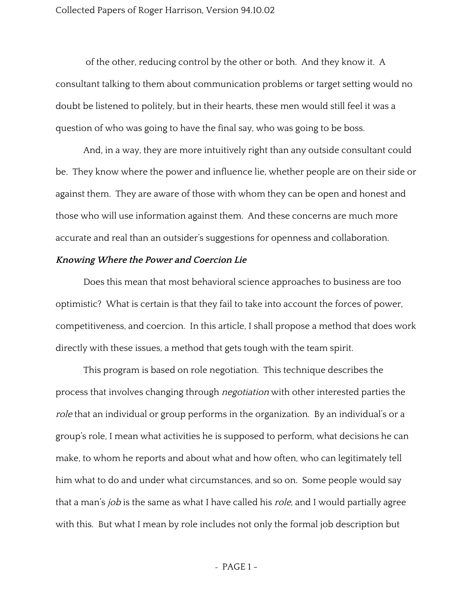of the other, reducing control by the other or both. And they know it. A consultant talking to them about communication problems or target setting would no doubt be listened to politely, but in their hearts, these men would still feel it was a question of who was going to have the final say, who was going to be boss.

And, in a way, they are more intuitively right than any outside consultant could be. They know where the power and influence lie, whether people are on their side or against them. They are aware of those with whom they can be open and honest and those who will use information against them. And these concerns are much more accurate and real than an outsider's suggestions for openness and collaboration.

### **Knowing Where the Power and Coercion Lie**

Does this mean that most behavioral science approaches to business are too optimistic? What is certain is that they fail to take into account the forces of power, competitiveness, and coercion. In this article, I shall propose a method that does work directly with these issues, a method that gets tough with the team spirit.

This program is based on role negotiation. This technique describes the process that involves changing through negotiation with other interested parties the role that an individual or group performs in the organization. By an individual's or a group's role, I mean what activities he is supposed to perform, what decisions he can make, to whom he reports and about what and how often, who can legitimately tell him what to do and under what circumstances, and so on. Some people would say that a man's *job* is the same as what I have called his *role*, and I would partially agree with this. But what I mean by role includes not only the formal job description but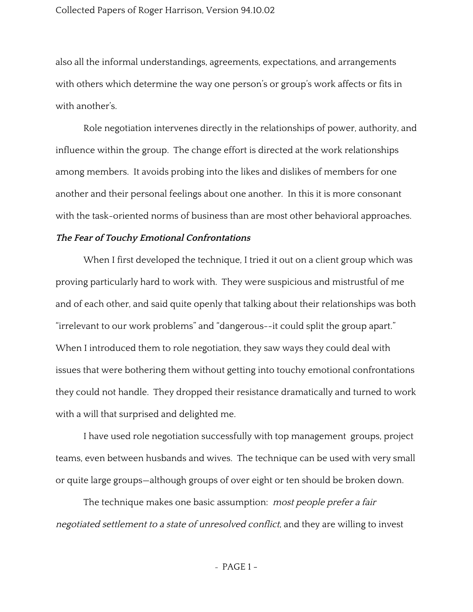also all the informal understandings, agreements, expectations, and arrangements with others which determine the way one person's or group's work affects or fits in with another's.

Role negotiation intervenes directly in the relationships of power, authority, and influence within the group. The change effort is directed at the work relationships among members. It avoids probing into the likes and dislikes of members for one another and their personal feelings about one another. In this it is more consonant with the task-oriented norms of business than are most other behavioral approaches.

### **The Fear of Touchy Emotional Confrontations**

When I first developed the technique, I tried it out on a client group which was proving particularly hard to work with. They were suspicious and mistrustful of me and of each other, and said quite openly that talking about their relationships was both "irrelevant to our work problems" and "dangerous--it could split the group apart." When I introduced them to role negotiation, they saw ways they could deal with issues that were bothering them without getting into touchy emotional confrontations they could not handle. They dropped their resistance dramatically and turned to work with a will that surprised and delighted me.

I have used role negotiation successfully with top management groups, project teams, even between husbands and wives. The technique can be used with very small or quite large groups—although groups of over eight or ten should be broken down.

The technique makes one basic assumption: *most people prefer a fair* negotiated settlement to a state of unresolved conflict, and they are willing to invest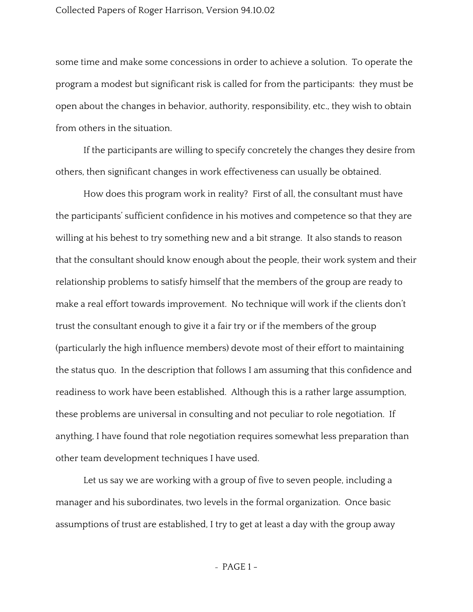some time and make some concessions in order to achieve a solution. To operate the program a modest but significant risk is called for from the participants: they must be open about the changes in behavior, authority, responsibility, etc., they wish to obtain from others in the situation.

If the participants are willing to specify concretely the changes they desire from others, then significant changes in work effectiveness can usually be obtained.

How does this program work in reality? First of all, the consultant must have the participants' sufficient confidence in his motives and competence so that they are willing at his behest to try something new and a bit strange. It also stands to reason that the consultant should know enough about the people, their work system and their relationship problems to satisfy himself that the members of the group are ready to make a real effort towards improvement. No technique will work if the clients don't trust the consultant enough to give it a fair try or if the members of the group (particularly the high influence members) devote most of their effort to maintaining the status quo. In the description that follows I am assuming that this confidence and readiness to work have been established. Although this is a rather large assumption, these problems are universal in consulting and not peculiar to role negotiation. If anything, I have found that role negotiation requires somewhat less preparation than other team development techniques I have used.

Let us say we are working with a group of five to seven people, including a manager and his subordinates, two levels in the formal organization. Once basic assumptions of trust are established, I try to get at least a day with the group away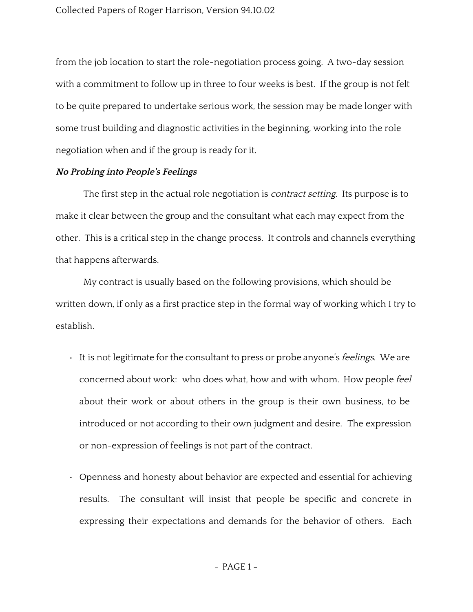from the job location to start the role-negotiation process going. A two-day session with a commitment to follow up in three to four weeks is best. If the group is not felt to be quite prepared to undertake serious work, the session may be made longer with some trust building and diagnostic activities in the beginning, working into the role negotiation when and if the group is ready for it.

# **No Probing into People's Feelings**

The first step in the actual role negotiation is *contract setting*. Its purpose is to make it clear between the group and the consultant what each may expect from the other. This is a critical step in the change process. It controls and channels everything that happens afterwards.

My contract is usually based on the following provisions, which should be written down, if only as a first practice step in the formal way of working which I try to establish.

- $\cdot$  It is not legitimate for the consultant to press or probe anyone's *feelings*. We are concerned about work: who does what, how and with whom. How people feel about their work or about others in the group is their own business, to be introduced or not according to their own judgment and desire. The expression or non-expression of feelings is not part of the contract.
- Openness and honesty about behavior are expected and essential for achieving results. The consultant will insist that people be specific and concrete in expressing their expectations and demands for the behavior of others. Each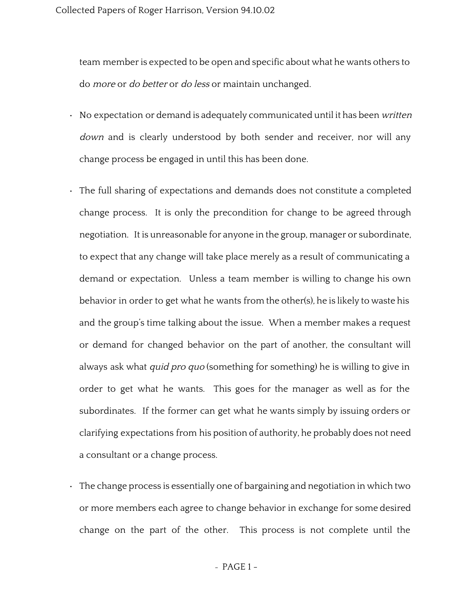team member is expected to be open and specific about what he wants others to do *more* or *do better* or *do less* or maintain unchanged.

- No expectation or demand is adequately communicated until it has been written down and is clearly understood by both sender and receiver, nor will any change process be engaged in until this has been done.
- The full sharing of expectations and demands does not constitute a completed change process. It is only the precondition for change to be agreed through negotiation. It is unreasonable for anyone in the group, manager or subordinate, to expect that any change will take place merely as a result of communicating a demand or expectation. Unless a team member is willing to change his own behavior in order to get what he wants from the other(s), he is likely to waste his and the group's time talking about the issue. When a member makes a request or demand for changed behavior on the part of another, the consultant will always ask what *quid pro quo* (something for something) he is willing to give in order to get what he wants. This goes for the manager as well as for the subordinates. If the former can get what he wants simply by issuing orders or clarifying expectations from his position of authority, he probably does not need a consultant or a change process.
- The change process is essentially one of bargaining and negotiation in which two or more members each agree to change behavior in exchange for some desired change on the part of the other. This process is not complete until the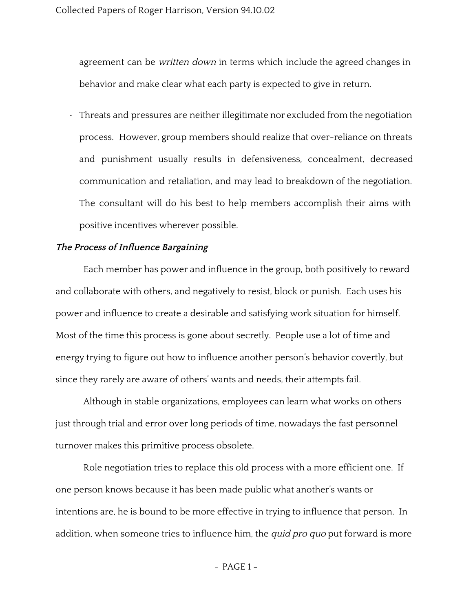agreement can be *written down* in terms which include the agreed changes in behavior and make clear what each party is expected to give in return.

• Threats and pressures are neither illegitimate nor excluded from the negotiation process. However, group members should realize that over-reliance on threats and punishment usually results in defensiveness, concealment, decreased communication and retaliation, and may lead to breakdown of the negotiation. The consultant will do his best to help members accomplish their aims with positive incentives wherever possible.

### **The Process of Influence Bargaining**

Each member has power and influence in the group, both positively to reward and collaborate with others, and negatively to resist, block or punish. Each uses his power and influence to create a desirable and satisfying work situation for himself. Most of the time this process is gone about secretly. People use a lot of time and energy trying to figure out how to influence another person's behavior covertly, but since they rarely are aware of others' wants and needs, their attempts fail.

Although in stable organizations, employees can learn what works on others just through trial and error over long periods of time, nowadays the fast personnel turnover makes this primitive process obsolete.

Role negotiation tries to replace this old process with a more efficient one. If one person knows because it has been made public what another's wants or intentions are, he is bound to be more effective in trying to influence that person. In addition, when someone tries to influence him, the *quid pro quo* put forward is more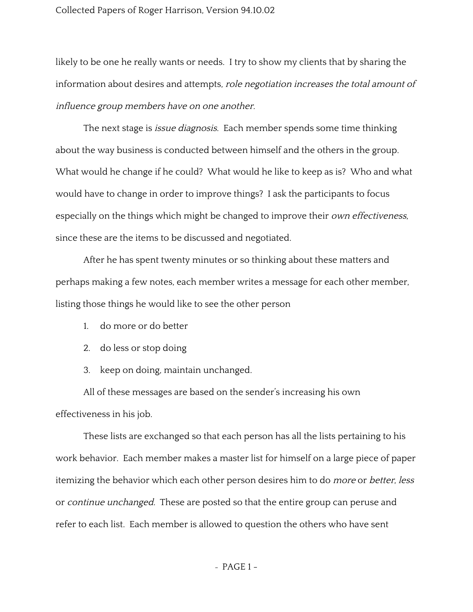likely to be one he really wants or needs. I try to show my clients that by sharing the information about desires and attempts, role negotiation increases the total amount of influence group members have on one another.

The next stage is *issue diagnosis*. Each member spends some time thinking about the way business is conducted between himself and the others in the group. What would he change if he could? What would he like to keep as is? Who and what would have to change in order to improve things? I ask the participants to focus especially on the things which might be changed to improve their own effectiveness, since these are the items to be discussed and negotiated.

After he has spent twenty minutes or so thinking about these matters and perhaps making a few notes, each member writes a message for each other member, listing those things he would like to see the other person

- 1. do more or do better
- 2. do less or stop doing
- 3. keep on doing, maintain unchanged.

All of these messages are based on the sender's increasing his own effectiveness in his job.

These lists are exchanged so that each person has all the lists pertaining to his work behavior. Each member makes a master list for himself on a large piece of paper itemizing the behavior which each other person desires him to do *more* or *better*, less or continue unchanged. These are posted so that the entire group can peruse and refer to each list. Each member is allowed to question the others who have sent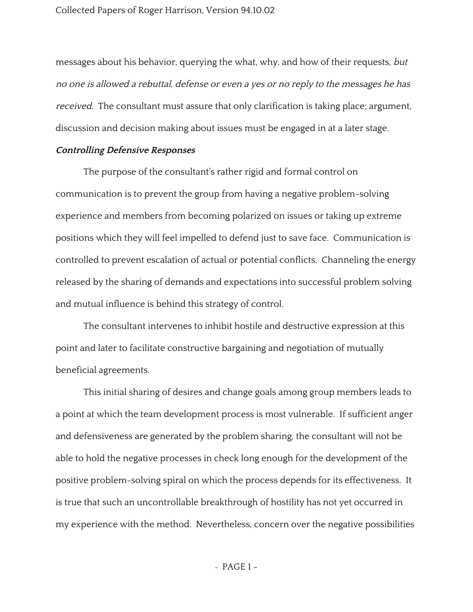messages about his behavior, querying the what, why, and how of their requests, but no one is allowed <sup>a</sup> rebuttal, defense or even <sup>a</sup> yes or no reply to the messages he has received. The consultant must assure that only clarification is taking place; argument, discussion and decision making about issues must be engaged in at a later stage.

### **Controlling Defensive Responses**

The purpose of the consultant's rather rigid and formal control on communication is to prevent the group from having a negative problem-solving experience and members from becoming polarized on issues or taking up extreme positions which they will feel impelled to defend just to save face. Communication is controlled to prevent escalation of actual or potential conflicts. Channeling the energy released by the sharing of demands and expectations into successful problem solving and mutual influence is behind this strategy of control.

The consultant intervenes to inhibit hostile and destructive expression at this point and later to facilitate constructive bargaining and negotiation of mutually beneficial agreements.

This initial sharing of desires and change goals among group members leads to a point at which the team development process is most vulnerable. If sufficient anger and defensiveness are generated by the problem sharing, the consultant will not be able to hold the negative processes in check long enough for the development of the positive problem-solving spiral on which the process depends for its effectiveness. It is true that such an uncontrollable breakthrough of hostility has not yet occurred in my experience with the method. Nevertheless, concern over the negative possibilities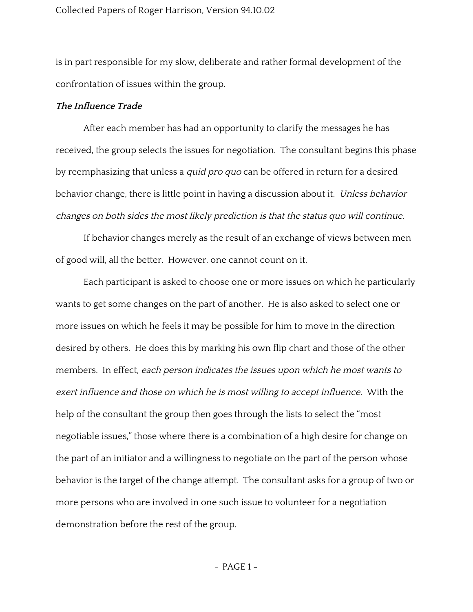is in part responsible for my slow, deliberate and rather formal development of the confrontation of issues within the group.

# **The Influence Trade**

After each member has had an opportunity to clarify the messages he has received, the group selects the issues for negotiation. The consultant begins this phase by reemphasizing that unless a *quid pro quo* can be offered in return for a desired behavior change, there is little point in having a discussion about it. Unless behavior changes on both sides the most likely prediction is that the status quo will continue.

If behavior changes merely as the result of an exchange of views between men of good will, all the better. However, one cannot count on it.

Each participant is asked to choose one or more issues on which he particularly wants to get some changes on the part of another. He is also asked to select one or more issues on which he feels it may be possible for him to move in the direction desired by others. He does this by marking his own flip chart and those of the other members. In effect, each person indicates the issues upon which he most wants to exert influence and those on which he is most willing to accept influence. With the help of the consultant the group then goes through the lists to select the "most negotiable issues," those where there is a combination of a high desire for change on the part of an initiator and a willingness to negotiate on the part of the person whose behavior is the target of the change attempt. The consultant asks for a group of two or more persons who are involved in one such issue to volunteer for a negotiation demonstration before the rest of the group.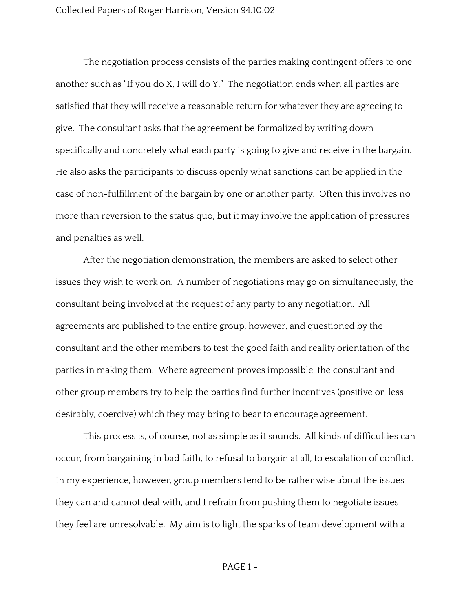The negotiation process consists of the parties making contingent offers to one another such as "If you do X, I will do Y." The negotiation ends when all parties are satisfied that they will receive a reasonable return for whatever they are agreeing to give. The consultant asks that the agreement be formalized by writing down specifically and concretely what each party is going to give and receive in the bargain. He also asks the participants to discuss openly what sanctions can be applied in the case of non-fulfillment of the bargain by one or another party. Often this involves no more than reversion to the status quo, but it may involve the application of pressures and penalties as well.

After the negotiation demonstration, the members are asked to select other issues they wish to work on. A number of negotiations may go on simultaneously, the consultant being involved at the request of any party to any negotiation. All agreements are published to the entire group, however, and questioned by the consultant and the other members to test the good faith and reality orientation of the parties in making them. Where agreement proves impossible, the consultant and other group members try to help the parties find further incentives (positive or, less desirably, coercive) which they may bring to bear to encourage agreement.

This process is, of course, not as simple as it sounds. All kinds of difficulties can occur, from bargaining in bad faith, to refusal to bargain at all, to escalation of conflict. In my experience, however, group members tend to be rather wise about the issues they can and cannot deal with, and I refrain from pushing them to negotiate issues they feel are unresolvable. My aim is to light the sparks of team development with a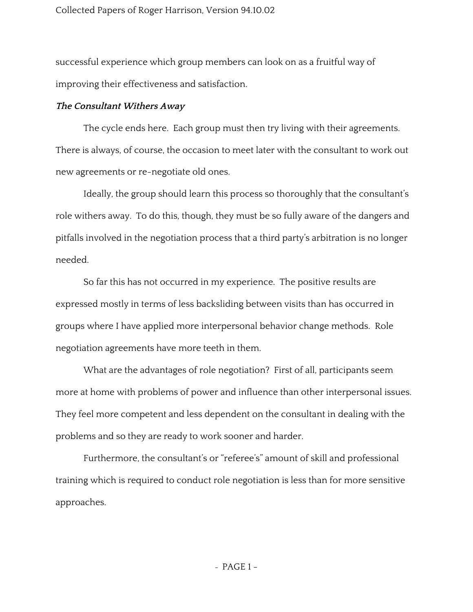successful experience which group members can look on as a fruitful way of improving their effectiveness and satisfaction.

# **The Consultant Withers Away**

The cycle ends here. Each group must then try living with their agreements. There is always, of course, the occasion to meet later with the consultant to work out new agreements or re-negotiate old ones.

Ideally, the group should learn this process so thoroughly that the consultant's role withers away. To do this, though, they must be so fully aware of the dangers and pitfalls involved in the negotiation process that a third party's arbitration is no longer needed.

So far this has not occurred in my experience. The positive results are expressed mostly in terms of less backsliding between visits than has occurred in groups where I have applied more interpersonal behavior change methods. Role negotiation agreements have more teeth in them.

What are the advantages of role negotiation? First of all, participants seem more at home with problems of power and influence than other interpersonal issues. They feel more competent and less dependent on the consultant in dealing with the problems and so they are ready to work sooner and harder.

Furthermore, the consultant's or "referee's" amount of skill and professional training which is required to conduct role negotiation is less than for more sensitive approaches.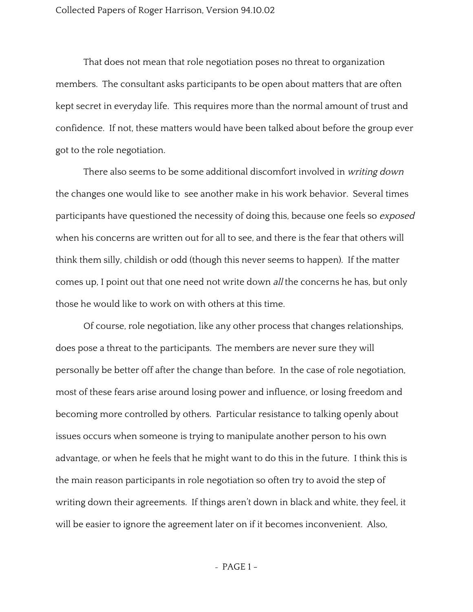That does not mean that role negotiation poses no threat to organization members. The consultant asks participants to be open about matters that are often kept secret in everyday life. This requires more than the normal amount of trust and confidence. If not, these matters would have been talked about before the group ever got to the role negotiation.

There also seems to be some additional discomfort involved in writing down the changes one would like to see another make in his work behavior. Several times participants have questioned the necessity of doing this, because one feels so exposed when his concerns are written out for all to see, and there is the fear that others will think them silly, childish or odd (though this never seems to happen). If the matter comes up, I point out that one need not write down all the concerns he has, but only those he would like to work on with others at this time.

Of course, role negotiation, like any other process that changes relationships, does pose a threat to the participants. The members are never sure they will personally be better off after the change than before. In the case of role negotiation, most of these fears arise around losing power and influence, or losing freedom and becoming more controlled by others. Particular resistance to talking openly about issues occurs when someone is trying to manipulate another person to his own advantage, or when he feels that he might want to do this in the future. I think this is the main reason participants in role negotiation so often try to avoid the step of writing down their agreements. If things aren't down in black and white, they feel, it will be easier to ignore the agreement later on if it becomes inconvenient. Also,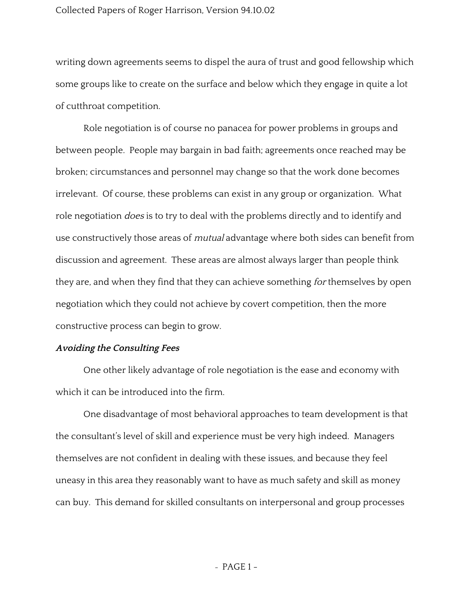writing down agreements seems to dispel the aura of trust and good fellowship which some groups like to create on the surface and below which they engage in quite a lot of cutthroat competition.

Role negotiation is of course no panacea for power problems in groups and between people. People may bargain in bad faith; agreements once reached may be broken; circumstances and personnel may change so that the work done becomes irrelevant. Of course, these problems can exist in any group or organization. What role negotiation *does* is to try to deal with the problems directly and to identify and use constructively those areas of *mutual* advantage where both sides can benefit from discussion and agreement. These areas are almost always larger than people think they are, and when they find that they can achieve something for themselves by open negotiation which they could not achieve by covert competition, then the more constructive process can begin to grow.

### **Avoiding the Consulting Fees**

One other likely advantage of role negotiation is the ease and economy with which it can be introduced into the firm.

One disadvantage of most behavioral approaches to team development is that the consultant's level of skill and experience must be very high indeed. Managers themselves are not confident in dealing with these issues, and because they feel uneasy in this area they reasonably want to have as much safety and skill as money can buy. This demand for skilled consultants on interpersonal and group processes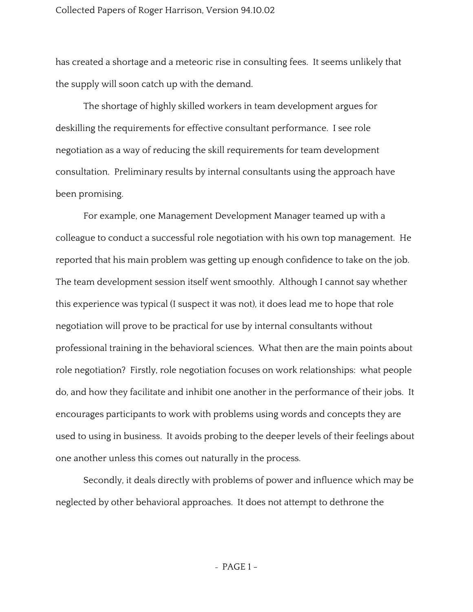has created a shortage and a meteoric rise in consulting fees. It seems unlikely that the supply will soon catch up with the demand.

The shortage of highly skilled workers in team development argues for deskilling the requirements for effective consultant performance. I see role negotiation as a way of reducing the skill requirements for team development consultation. Preliminary results by internal consultants using the approach have been promising.

For example, one Management Development Manager teamed up with a colleague to conduct a successful role negotiation with his own top management. He reported that his main problem was getting up enough confidence to take on the job. The team development session itself went smoothly. Although I cannot say whether this experience was typical (I suspect it was not), it does lead me to hope that role negotiation will prove to be practical for use by internal consultants without professional training in the behavioral sciences. What then are the main points about role negotiation? Firstly, role negotiation focuses on work relationships: what people do, and how they facilitate and inhibit one another in the performance of their jobs. It encourages participants to work with problems using words and concepts they are used to using in business. It avoids probing to the deeper levels of their feelings about one another unless this comes out naturally in the process.

Secondly, it deals directly with problems of power and influence which may be neglected by other behavioral approaches. It does not attempt to dethrone the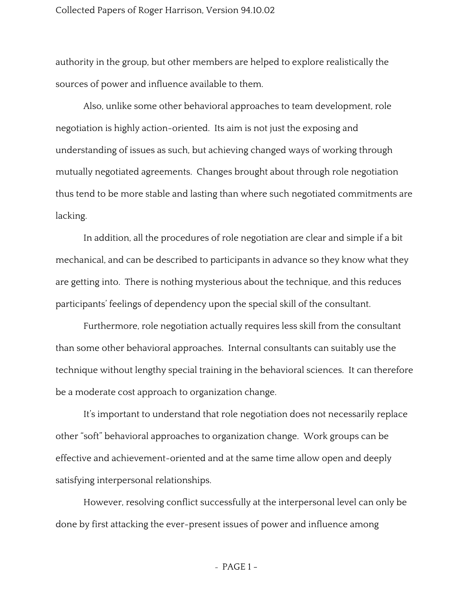authority in the group, but other members are helped to explore realistically the sources of power and influence available to them.

Also, unlike some other behavioral approaches to team development, role negotiation is highly action-oriented. Its aim is not just the exposing and understanding of issues as such, but achieving changed ways of working through mutually negotiated agreements. Changes brought about through role negotiation thus tend to be more stable and lasting than where such negotiated commitments are lacking.

In addition, all the procedures of role negotiation are clear and simple if a bit mechanical, and can be described to participants in advance so they know what they are getting into. There is nothing mysterious about the technique, and this reduces participants' feelings of dependency upon the special skill of the consultant.

Furthermore, role negotiation actually requires less skill from the consultant than some other behavioral approaches. Internal consultants can suitably use the technique without lengthy special training in the behavioral sciences. It can therefore be a moderate cost approach to organization change.

It's important to understand that role negotiation does not necessarily replace other "soft" behavioral approaches to organization change. Work groups can be effective and achievement-oriented and at the same time allow open and deeply satisfying interpersonal relationships.

However, resolving conflict successfully at the interpersonal level can only be done by first attacking the ever-present issues of power and influence among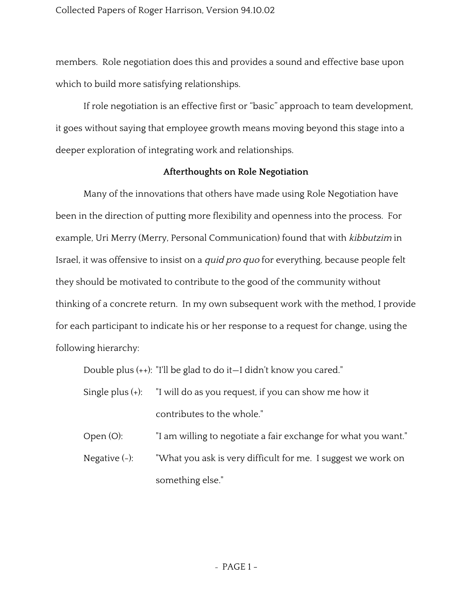members. Role negotiation does this and provides a sound and effective base upon which to build more satisfying relationships.

If role negotiation is an effective first or "basic" approach to team development, it goes without saying that employee growth means moving beyond this stage into a deeper exploration of integrating work and relationships.

# **Afterthoughts on Role Negotiation**

Many of the innovations that others have made using Role Negotiation have been in the direction of putting more flexibility and openness into the process. For example, Uri Merry (Merry, Personal Communication) found that with kibbutzim in Israel, it was offensive to insist on a quid pro quo for everything, because people felt they should be motivated to contribute to the good of the community without thinking of a concrete return. In my own subsequent work with the method, I provide for each participant to indicate his or her response to a request for change, using the following hierarchy:

Double plus (++): "I'll be glad to do it—I didn't know you cared."

- Single plus (+): "I will do as you request, if you can show me how it contributes to the whole."
- Open (O): "I am willing to negotiate a fair exchange for what you want."
- Negative (-): "What you ask is very difficult for me. I suggest we work on something else."